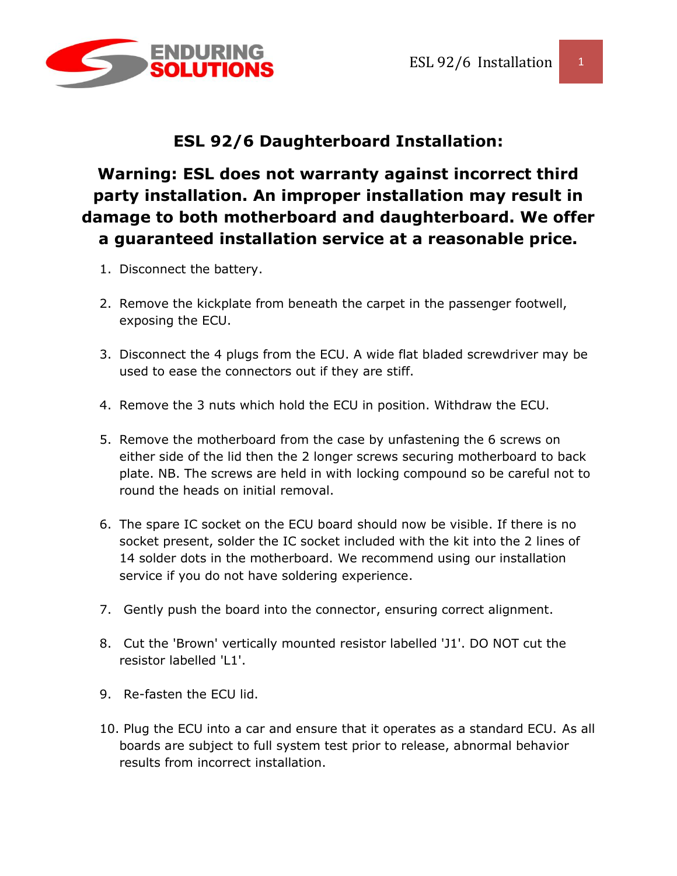

## **ESL 92/6 Daughterboard Installation:**

**Warning: ESL does not warranty against incorrect third party installation. An improper installation may result in damage to both motherboard and daughterboard. We offer a guaranteed installation service at a reasonable price.**

- 1. Disconnect the battery.
- 2. Remove the kickplate from beneath the carpet in the passenger footwell, exposing the ECU.
- 3. Disconnect the 4 plugs from the ECU. A wide flat bladed screwdriver may be used to ease the connectors out if they are stiff.
- 4. Remove the 3 nuts which hold the ECU in position. Withdraw the ECU.
- 5. Remove the motherboard from the case by unfastening the 6 screws on either side of the lid then the 2 longer screws securing motherboard to back plate. NB. The screws are held in with locking compound so be careful not to round the heads on initial removal.
- 6. The spare IC socket on the ECU board should now be visible. If there is no socket present, solder the IC socket included with the kit into the 2 lines of 14 solder dots in the motherboard. We recommend using our installation service if you do not have soldering experience.
- 7. Gently push the board into the connector, ensuring correct alignment.
- 8. Cut the 'Brown' vertically mounted resistor labelled 'J1'. DO NOT cut the resistor labelled 'L1'.
- 9. Re-fasten the ECU lid.
- 10. Plug the ECU into a car and ensure that it operates as a standard ECU. As all boards are subject to full system test prior to release, abnormal behavior results from incorrect installation.